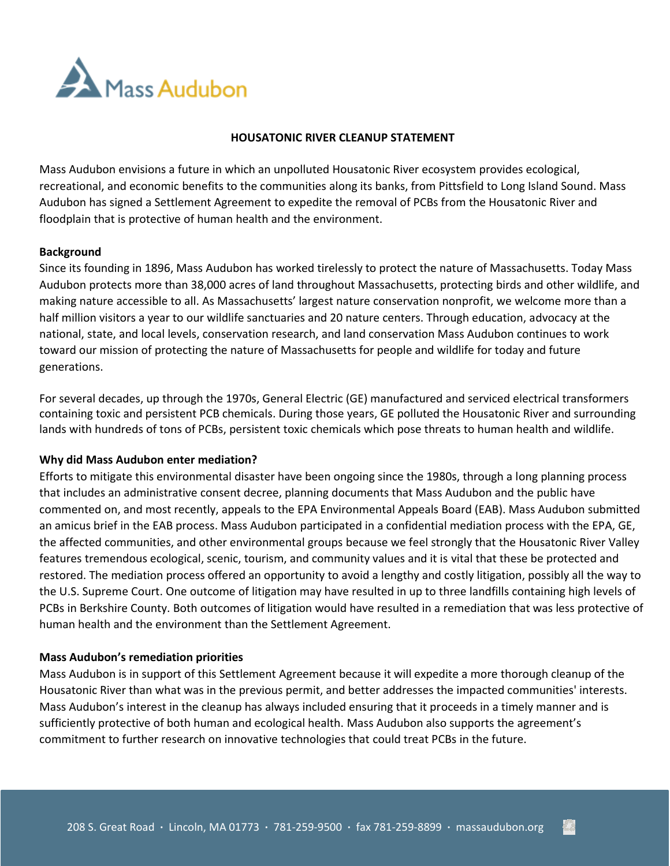

## **HOUSATONIC RIVER CLEANUP STATEMENT**

Mass Audubon envisions a future in which an unpolluted Housatonic River ecosystem provides ecological, recreational, and economic benefits to the communities along its banks, from Pittsfield to Long Island Sound. Mass Audubon has signed a Settlement Agreement to expedite the removal of PCBs from the Housatonic River and floodplain that is protective of human health and the environment.

### **Background**

Since its founding in 1896, Mass Audubon has worked tirelessly to protect the nature of Massachusetts. Today Mass Audubon protects more than 38,000 acres of land throughout Massachusetts, protecting birds and other wildlife, and making nature accessible to all. As Massachusetts' largest nature conservation nonprofit, we welcome more than a half million visitors a year to our wildlife sanctuaries and 20 nature centers. Through education, advocacy at the national, state, and local levels, conservation research, and land conservation Mass Audubon continues to work toward our mission of protecting the nature of Massachusetts for people and wildlife for today and future generations.

For several decades, up through the 1970s, General Electric (GE) manufactured and serviced electrical transformers containing toxic and persistent PCB chemicals. During those years, GE polluted the Housatonic River and surrounding lands with hundreds of tons of PCBs, persistent toxic chemicals which pose threats to human health and wildlife.

#### **Why did Mass Audubon enter mediation?**

Efforts to mitigate this environmental disaster have been ongoing since the 1980s, through a long planning process that includes an administrative consent decree, planning documents that Mass Audubon and the public have commented on, and most recently, appeals to the EPA Environmental Appeals Board (EAB). Mass Audubon submitted an amicus brief in the EAB process. Mass Audubon participated in a confidential mediation process with the EPA, GE, the affected communities, and other environmental groups because we feel strongly that the Housatonic River Valley features tremendous ecological, scenic, tourism, and community values and it is vital that these be protected and restored. The mediation process offered an opportunity to avoid a lengthy and costly litigation, possibly all the way to the U.S. Supreme Court. One outcome of litigation may have resulted in up to three landfills containing high levels of PCBs in Berkshire County. Both outcomes of litigation would have resulted in a remediation that was less protective of human health and the environment than the Settlement Agreement.

#### **Mass Audubon's remediation priorities**

Mass Audubon is in support of this Settlement Agreement because it will expedite a more thorough cleanup of the Housatonic River than what was in the previous permit, and better addresses the impacted communities' interests. Mass Audubon's interest in the cleanup has always included ensuring that it proceeds in a timely manner and is sufficiently protective of both human and ecological health. Mass Audubon also supports the agreement's commitment to further research on innovative technologies that could treat PCBs in the future.

č3